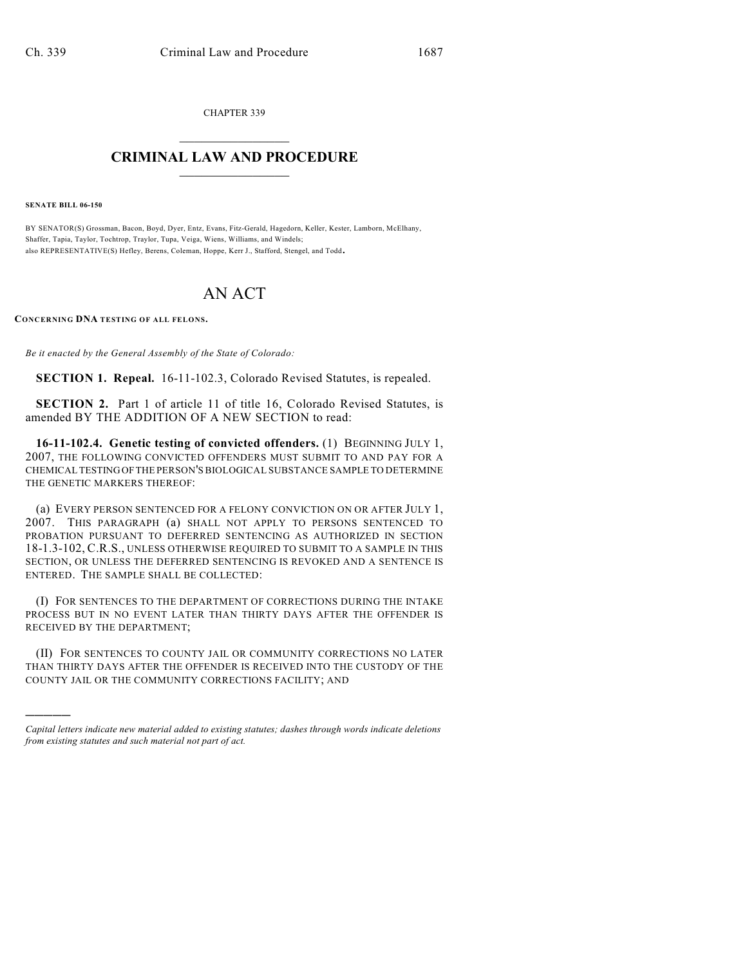CHAPTER 339  $\mathcal{L}_\text{max}$  . The set of the set of the set of the set of the set of the set of the set of the set of the set of the set of the set of the set of the set of the set of the set of the set of the set of the set of the set

## **CRIMINAL LAW AND PROCEDURE**  $\frac{1}{2}$  ,  $\frac{1}{2}$  ,  $\frac{1}{2}$  ,  $\frac{1}{2}$  ,  $\frac{1}{2}$  ,  $\frac{1}{2}$  ,  $\frac{1}{2}$

**SENATE BILL 06-150**

)))))

BY SENATOR(S) Grossman, Bacon, Boyd, Dyer, Entz, Evans, Fitz-Gerald, Hagedorn, Keller, Kester, Lamborn, McElhany, Shaffer, Tapia, Taylor, Tochtrop, Traylor, Tupa, Veiga, Wiens, Williams, and Windels; also REPRESENTATIVE(S) Hefley, Berens, Coleman, Hoppe, Kerr J., Stafford, Stengel, and Todd.

## AN ACT

**CONCERNING DNA TESTING OF ALL FELONS.**

*Be it enacted by the General Assembly of the State of Colorado:*

**SECTION 1. Repeal.** 16-11-102.3, Colorado Revised Statutes, is repealed.

**SECTION 2.** Part 1 of article 11 of title 16, Colorado Revised Statutes, is amended BY THE ADDITION OF A NEW SECTION to read:

**16-11-102.4. Genetic testing of convicted offenders.** (1) BEGINNING JULY 1, 2007, THE FOLLOWING CONVICTED OFFENDERS MUST SUBMIT TO AND PAY FOR A CHEMICAL TESTING OF THE PERSON'S BIOLOGICAL SUBSTANCE SAMPLE TO DETERMINE THE GENETIC MARKERS THEREOF:

(a) EVERY PERSON SENTENCED FOR A FELONY CONVICTION ON OR AFTER JULY 1, 2007. THIS PARAGRAPH (a) SHALL NOT APPLY TO PERSONS SENTENCED TO PROBATION PURSUANT TO DEFERRED SENTENCING AS AUTHORIZED IN SECTION 18-1.3-102, C.R.S., UNLESS OTHERWISE REQUIRED TO SUBMIT TO A SAMPLE IN THIS SECTION, OR UNLESS THE DEFERRED SENTENCING IS REVOKED AND A SENTENCE IS ENTERED. THE SAMPLE SHALL BE COLLECTED:

(I) FOR SENTENCES TO THE DEPARTMENT OF CORRECTIONS DURING THE INTAKE PROCESS BUT IN NO EVENT LATER THAN THIRTY DAYS AFTER THE OFFENDER IS RECEIVED BY THE DEPARTMENT;

(II) FOR SENTENCES TO COUNTY JAIL OR COMMUNITY CORRECTIONS NO LATER THAN THIRTY DAYS AFTER THE OFFENDER IS RECEIVED INTO THE CUSTODY OF THE COUNTY JAIL OR THE COMMUNITY CORRECTIONS FACILITY; AND

*Capital letters indicate new material added to existing statutes; dashes through words indicate deletions from existing statutes and such material not part of act.*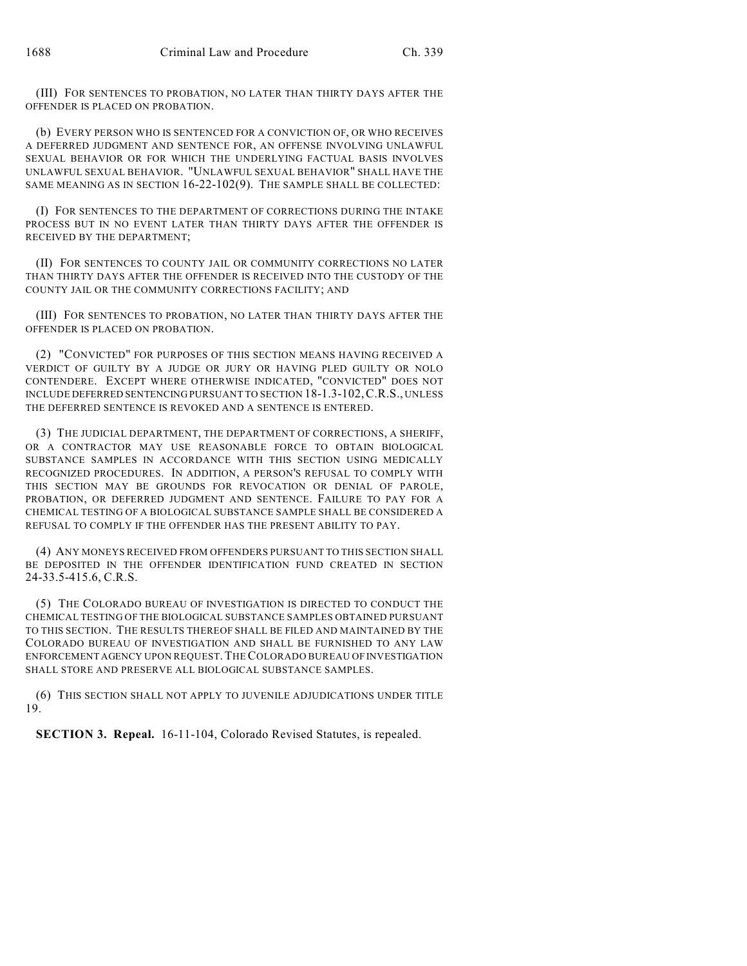(III) FOR SENTENCES TO PROBATION, NO LATER THAN THIRTY DAYS AFTER THE OFFENDER IS PLACED ON PROBATION.

(b) EVERY PERSON WHO IS SENTENCED FOR A CONVICTION OF, OR WHO RECEIVES A DEFERRED JUDGMENT AND SENTENCE FOR, AN OFFENSE INVOLVING UNLAWFUL SEXUAL BEHAVIOR OR FOR WHICH THE UNDERLYING FACTUAL BASIS INVOLVES UNLAWFUL SEXUAL BEHAVIOR. "UNLAWFUL SEXUAL BEHAVIOR" SHALL HAVE THE SAME MEANING AS IN SECTION 16-22-102(9). THE SAMPLE SHALL BE COLLECTED:

(I) FOR SENTENCES TO THE DEPARTMENT OF CORRECTIONS DURING THE INTAKE PROCESS BUT IN NO EVENT LATER THAN THIRTY DAYS AFTER THE OFFENDER IS RECEIVED BY THE DEPARTMENT;

(II) FOR SENTENCES TO COUNTY JAIL OR COMMUNITY CORRECTIONS NO LATER THAN THIRTY DAYS AFTER THE OFFENDER IS RECEIVED INTO THE CUSTODY OF THE COUNTY JAIL OR THE COMMUNITY CORRECTIONS FACILITY; AND

(III) FOR SENTENCES TO PROBATION, NO LATER THAN THIRTY DAYS AFTER THE OFFENDER IS PLACED ON PROBATION.

(2) "CONVICTED" FOR PURPOSES OF THIS SECTION MEANS HAVING RECEIVED A VERDICT OF GUILTY BY A JUDGE OR JURY OR HAVING PLED GUILTY OR NOLO CONTENDERE. EXCEPT WHERE OTHERWISE INDICATED, "CONVICTED" DOES NOT INCLUDE DEFERRED SENTENCING PURSUANT TO SECTION 18-1.3-102,C.R.S., UNLESS THE DEFERRED SENTENCE IS REVOKED AND A SENTENCE IS ENTERED.

(3) THE JUDICIAL DEPARTMENT, THE DEPARTMENT OF CORRECTIONS, A SHERIFF, OR A CONTRACTOR MAY USE REASONABLE FORCE TO OBTAIN BIOLOGICAL SUBSTANCE SAMPLES IN ACCORDANCE WITH THIS SECTION USING MEDICALLY RECOGNIZED PROCEDURES. IN ADDITION, A PERSON'S REFUSAL TO COMPLY WITH THIS SECTION MAY BE GROUNDS FOR REVOCATION OR DENIAL OF PAROLE, PROBATION, OR DEFERRED JUDGMENT AND SENTENCE. FAILURE TO PAY FOR A CHEMICAL TESTING OF A BIOLOGICAL SUBSTANCE SAMPLE SHALL BE CONSIDERED A REFUSAL TO COMPLY IF THE OFFENDER HAS THE PRESENT ABILITY TO PAY.

(4) ANY MONEYS RECEIVED FROM OFFENDERS PURSUANT TO THIS SECTION SHALL BE DEPOSITED IN THE OFFENDER IDENTIFICATION FUND CREATED IN SECTION 24-33.5-415.6, C.R.S.

(5) THE COLORADO BUREAU OF INVESTIGATION IS DIRECTED TO CONDUCT THE CHEMICAL TESTING OF THE BIOLOGICAL SUBSTANCE SAMPLES OBTAINED PURSUANT TO THIS SECTION. THE RESULTS THEREOF SHALL BE FILED AND MAINTAINED BY THE COLORADO BUREAU OF INVESTIGATION AND SHALL BE FURNISHED TO ANY LAW ENFORCEMENT AGENCY UPON REQUEST.THE COLORADO BUREAU OF INVESTIGATION SHALL STORE AND PRESERVE ALL BIOLOGICAL SUBSTANCE SAMPLES.

(6) THIS SECTION SHALL NOT APPLY TO JUVENILE ADJUDICATIONS UNDER TITLE 19.

**SECTION 3. Repeal.** 16-11-104, Colorado Revised Statutes, is repealed.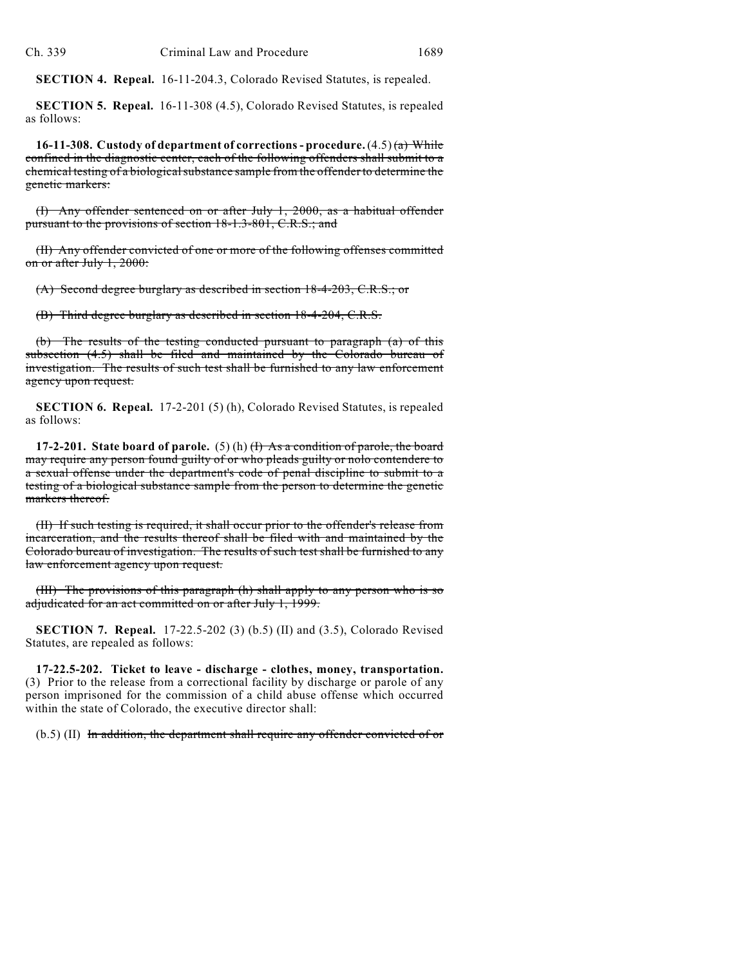**SECTION 4. Repeal.** 16-11-204.3, Colorado Revised Statutes, is repealed.

**SECTION 5. Repeal.** 16-11-308 (4.5), Colorado Revised Statutes, is repealed as follows:

**16-11-308. Custody of department of corrections - procedure.** (4.5) (a) While confined in the diagnostic center, each of the following offenders shall submit to a chemical testing of a biological substance sample from the offender to determine the genetic markers:

(I) Any offender sentenced on or after July 1, 2000, as a habitual offender pursuant to the provisions of section 18-1.3-801, C.R.S.; and

(II) Any offender convicted of one or more of the following offenses committed on or after July 1, 2000:

(A) Second degree burglary as described in section 18-4-203, C.R.S.; or

(B) Third degree burglary as described in section 18-4-204, C.R.S.

(b) The results of the testing conducted pursuant to paragraph (a) of this subsection (4.5) shall be filed and maintained by the Colorado bureau of investigation. The results of such test shall be furnished to any law enforcement agency upon request.

**SECTION 6. Repeal.** 17-2-201 (5) (h), Colorado Revised Statutes, is repealed as follows:

**17-2-201. State board of parole.** (5) (h) (I) As a condition of parole, the board may require any person found guilty of or who pleads guilty or nolo contendere to a sexual offense under the department's code of penal discipline to submit to a testing of a biological substance sample from the person to determine the genetic markers thereof.

(II) If such testing is required, it shall occur prior to the offender's release from incarceration, and the results thereof shall be filed with and maintained by the Colorado bureau of investigation. The results of such test shall be furnished to any law enforcement agency upon request.

(III) The provisions of this paragraph (h) shall apply to any person who is so adjudicated for an act committed on or after July 1, 1999.

**SECTION 7. Repeal.** 17-22.5-202 (3) (b.5) (II) and (3.5), Colorado Revised Statutes, are repealed as follows:

**17-22.5-202. Ticket to leave - discharge - clothes, money, transportation.** (3) Prior to the release from a correctional facility by discharge or parole of any person imprisoned for the commission of a child abuse offense which occurred within the state of Colorado, the executive director shall:

(b.5) (II) In addition, the department shall require any offender convicted of or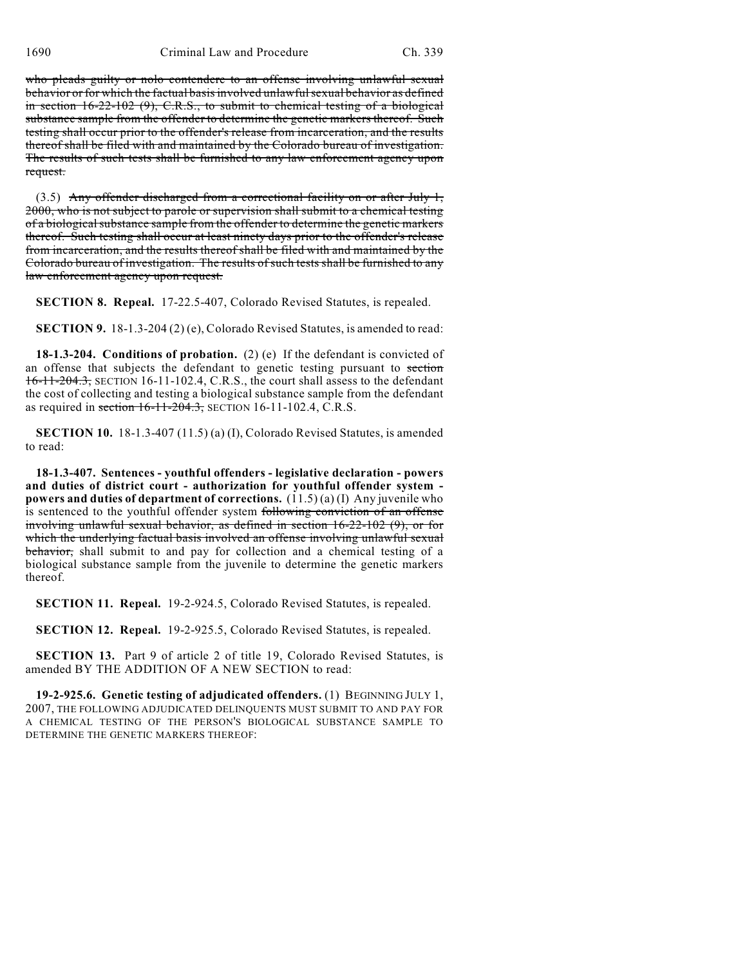who pleads guilty or nolo contendere to an offense involving unlawful sexual behavior or for which the factual basis involved unlawful sexual behavior as defined in section 16-22-102 (9), C.R.S., to submit to chemical testing of a biological substance sample from the offender to determine the genetic markers thereof. Such testing shall occur prior to the offender's release from incarceration, and the results thereof shall be filed with and maintained by the Colorado bureau of investigation. The results of such tests shall be furnished to any law enforcement agency upon request.

 $(3.5)$  Any offender discharged from a correctional facility on or after July 1, 2000, who is not subject to parole or supervision shall submit to a chemical testing of a biological substance sample from the offender to determine the genetic markers thereof. Such testing shall occur at least ninety days prior to the offender's release from incarceration, and the results thereof shall be filed with and maintained by the Colorado bureau of investigation. The results of such tests shall be furnished to any law enforcement agency upon request.

**SECTION 8. Repeal.** 17-22.5-407, Colorado Revised Statutes, is repealed.

**SECTION 9.** 18-1.3-204 (2) (e), Colorado Revised Statutes, is amended to read:

**18-1.3-204. Conditions of probation.** (2) (e) If the defendant is convicted of an offense that subjects the defendant to genetic testing pursuant to section 16-11-204.3, SECTION 16-11-102.4, C.R.S., the court shall assess to the defendant the cost of collecting and testing a biological substance sample from the defendant as required in section 16-11-204.3, SECTION 16-11-102.4, C.R.S.

**SECTION 10.** 18-1.3-407 (11.5) (a) (I), Colorado Revised Statutes, is amended to read:

**18-1.3-407. Sentences - youthful offenders - legislative declaration - powers and duties of district court - authorization for youthful offender system powers and duties of department of corrections.** (11.5) (a) (I) Any juvenile who is sentenced to the youthful offender system following conviction of an offense involving unlawful sexual behavior, as defined in section 16-22-102 (9), or for which the underlying factual basis involved an offense involving unlawful sexual behavior, shall submit to and pay for collection and a chemical testing of a biological substance sample from the juvenile to determine the genetic markers thereof.

**SECTION 11. Repeal.** 19-2-924.5, Colorado Revised Statutes, is repealed.

**SECTION 12. Repeal.** 19-2-925.5, Colorado Revised Statutes, is repealed.

**SECTION 13.** Part 9 of article 2 of title 19, Colorado Revised Statutes, is amended BY THE ADDITION OF A NEW SECTION to read:

**19-2-925.6. Genetic testing of adjudicated offenders.** (1) BEGINNING JULY 1, 2007, THE FOLLOWING ADJUDICATED DELINQUENTS MUST SUBMIT TO AND PAY FOR A CHEMICAL TESTING OF THE PERSON'S BIOLOGICAL SUBSTANCE SAMPLE TO DETERMINE THE GENETIC MARKERS THEREOF: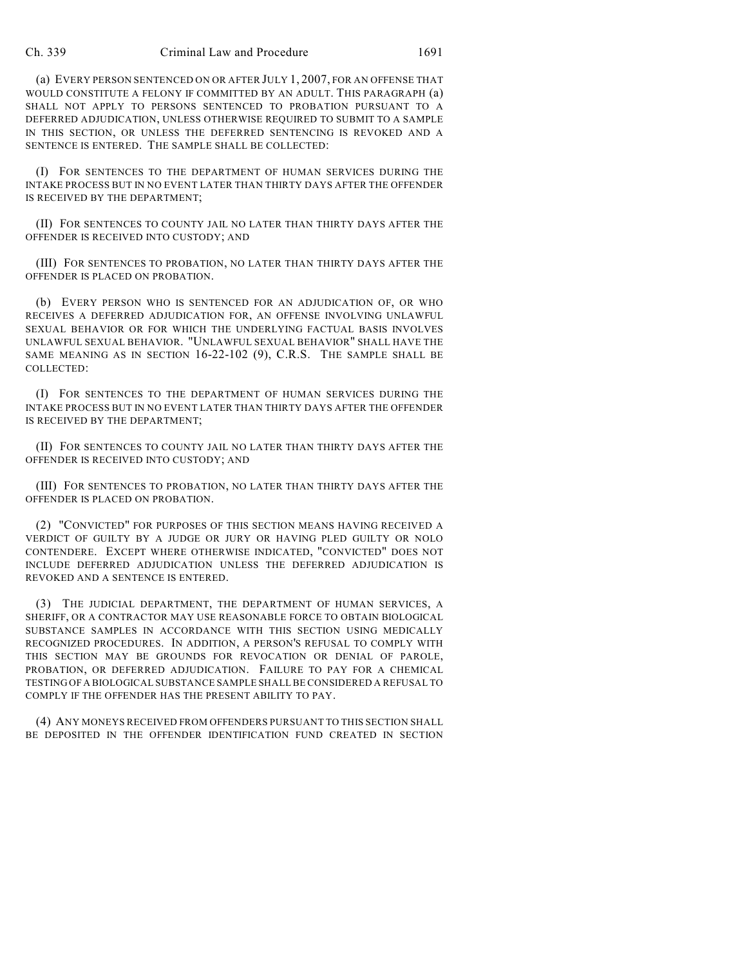(a) EVERY PERSON SENTENCED ON OR AFTER JULY 1, 2007, FOR AN OFFENSE THAT WOULD CONSTITUTE A FELONY IF COMMITTED BY AN ADULT. THIS PARAGRAPH (a) SHALL NOT APPLY TO PERSONS SENTENCED TO PROBATION PURSUANT TO A DEFERRED ADJUDICATION, UNLESS OTHERWISE REQUIRED TO SUBMIT TO A SAMPLE IN THIS SECTION, OR UNLESS THE DEFERRED SENTENCING IS REVOKED AND A SENTENCE IS ENTERED. THE SAMPLE SHALL BE COLLECTED:

(I) FOR SENTENCES TO THE DEPARTMENT OF HUMAN SERVICES DURING THE INTAKE PROCESS BUT IN NO EVENT LATER THAN THIRTY DAYS AFTER THE OFFENDER IS RECEIVED BY THE DEPARTMENT;

(II) FOR SENTENCES TO COUNTY JAIL NO LATER THAN THIRTY DAYS AFTER THE OFFENDER IS RECEIVED INTO CUSTODY; AND

(III) FOR SENTENCES TO PROBATION, NO LATER THAN THIRTY DAYS AFTER THE OFFENDER IS PLACED ON PROBATION.

(b) EVERY PERSON WHO IS SENTENCED FOR AN ADJUDICATION OF, OR WHO RECEIVES A DEFERRED ADJUDICATION FOR, AN OFFENSE INVOLVING UNLAWFUL SEXUAL BEHAVIOR OR FOR WHICH THE UNDERLYING FACTUAL BASIS INVOLVES UNLAWFUL SEXUAL BEHAVIOR. "UNLAWFUL SEXUAL BEHAVIOR" SHALL HAVE THE SAME MEANING AS IN SECTION 16-22-102 (9), C.R.S. THE SAMPLE SHALL BE COLLECTED:

(I) FOR SENTENCES TO THE DEPARTMENT OF HUMAN SERVICES DURING THE INTAKE PROCESS BUT IN NO EVENT LATER THAN THIRTY DAYS AFTER THE OFFENDER IS RECEIVED BY THE DEPARTMENT;

(II) FOR SENTENCES TO COUNTY JAIL NO LATER THAN THIRTY DAYS AFTER THE OFFENDER IS RECEIVED INTO CUSTODY; AND

(III) FOR SENTENCES TO PROBATION, NO LATER THAN THIRTY DAYS AFTER THE OFFENDER IS PLACED ON PROBATION.

(2) "CONVICTED" FOR PURPOSES OF THIS SECTION MEANS HAVING RECEIVED A VERDICT OF GUILTY BY A JUDGE OR JURY OR HAVING PLED GUILTY OR NOLO CONTENDERE. EXCEPT WHERE OTHERWISE INDICATED, "CONVICTED" DOES NOT INCLUDE DEFERRED ADJUDICATION UNLESS THE DEFERRED ADJUDICATION IS REVOKED AND A SENTENCE IS ENTERED.

(3) THE JUDICIAL DEPARTMENT, THE DEPARTMENT OF HUMAN SERVICES, A SHERIFF, OR A CONTRACTOR MAY USE REASONABLE FORCE TO OBTAIN BIOLOGICAL SUBSTANCE SAMPLES IN ACCORDANCE WITH THIS SECTION USING MEDICALLY RECOGNIZED PROCEDURES. IN ADDITION, A PERSON'S REFUSAL TO COMPLY WITH THIS SECTION MAY BE GROUNDS FOR REVOCATION OR DENIAL OF PAROLE, PROBATION, OR DEFERRED ADJUDICATION. FAILURE TO PAY FOR A CHEMICAL TESTING OF A BIOLOGICAL SUBSTANCE SAMPLE SHALL BE CONSIDERED A REFUSAL TO COMPLY IF THE OFFENDER HAS THE PRESENT ABILITY TO PAY.

(4) ANY MONEYS RECEIVED FROM OFFENDERS PURSUANT TO THIS SECTION SHALL BE DEPOSITED IN THE OFFENDER IDENTIFICATION FUND CREATED IN SECTION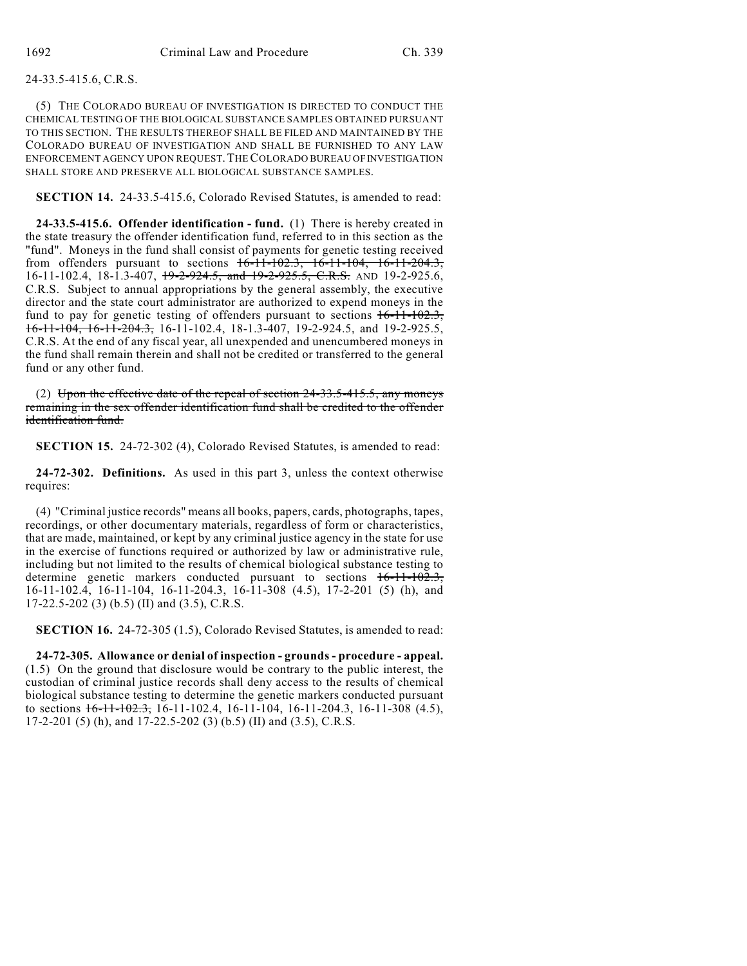## 24-33.5-415.6, C.R.S.

(5) THE COLORADO BUREAU OF INVESTIGATION IS DIRECTED TO CONDUCT THE CHEMICAL TESTING OF THE BIOLOGICAL SUBSTANCE SAMPLES OBTAINED PURSUANT TO THIS SECTION. THE RESULTS THEREOF SHALL BE FILED AND MAINTAINED BY THE COLORADO BUREAU OF INVESTIGATION AND SHALL BE FURNISHED TO ANY LAW ENFORCEMENT AGENCY UPON REQUEST.THE COLORADO BUREAU OF INVESTIGATION SHALL STORE AND PRESERVE ALL BIOLOGICAL SUBSTANCE SAMPLES.

**SECTION 14.** 24-33.5-415.6, Colorado Revised Statutes, is amended to read:

**24-33.5-415.6. Offender identification - fund.** (1) There is hereby created in the state treasury the offender identification fund, referred to in this section as the "fund". Moneys in the fund shall consist of payments for genetic testing received from offenders pursuant to sections  $16-11-102.3$ ,  $16-11-104$ ,  $16-11-204.3$ , 16-11-102.4, 18-1.3-407, 19-2-924.5, and 19-2-925.5, C.R.S. AND 19-2-925.6, C.R.S. Subject to annual appropriations by the general assembly, the executive director and the state court administrator are authorized to expend moneys in the fund to pay for genetic testing of offenders pursuant to sections  $16-11-102.3$ , 16-11-104, 16-11-204.3, 16-11-102.4, 18-1.3-407, 19-2-924.5, and 19-2-925.5, C.R.S. At the end of any fiscal year, all unexpended and unencumbered moneys in the fund shall remain therein and shall not be credited or transferred to the general fund or any other fund.

(2) Upon the effective date of the repeal of section  $24-33.5-415.5$ , any moneys remaining in the sex offender identification fund shall be credited to the offender identification fund.

**SECTION 15.** 24-72-302 (4), Colorado Revised Statutes, is amended to read:

**24-72-302. Definitions.** As used in this part 3, unless the context otherwise requires:

(4) "Criminal justice records" means all books, papers, cards, photographs, tapes, recordings, or other documentary materials, regardless of form or characteristics, that are made, maintained, or kept by any criminal justice agency in the state for use in the exercise of functions required or authorized by law or administrative rule, including but not limited to the results of chemical biological substance testing to determine genetic markers conducted pursuant to sections  $16-11-102.3$ , 16-11-102.4, 16-11-104, 16-11-204.3, 16-11-308 (4.5), 17-2-201 (5) (h), and 17-22.5-202 (3) (b.5) (II) and (3.5), C.R.S.

**SECTION 16.** 24-72-305 (1.5), Colorado Revised Statutes, is amended to read:

**24-72-305. Allowance or denial of inspection - grounds - procedure - appeal.** (1.5) On the ground that disclosure would be contrary to the public interest, the custodian of criminal justice records shall deny access to the results of chemical biological substance testing to determine the genetic markers conducted pursuant to sections  $16-11-102.3$ , 16-11-102.4, 16-11-104, 16-11-204.3, 16-11-308 (4.5), 17-2-201 (5) (h), and 17-22.5-202 (3) (b.5) (II) and (3.5), C.R.S.